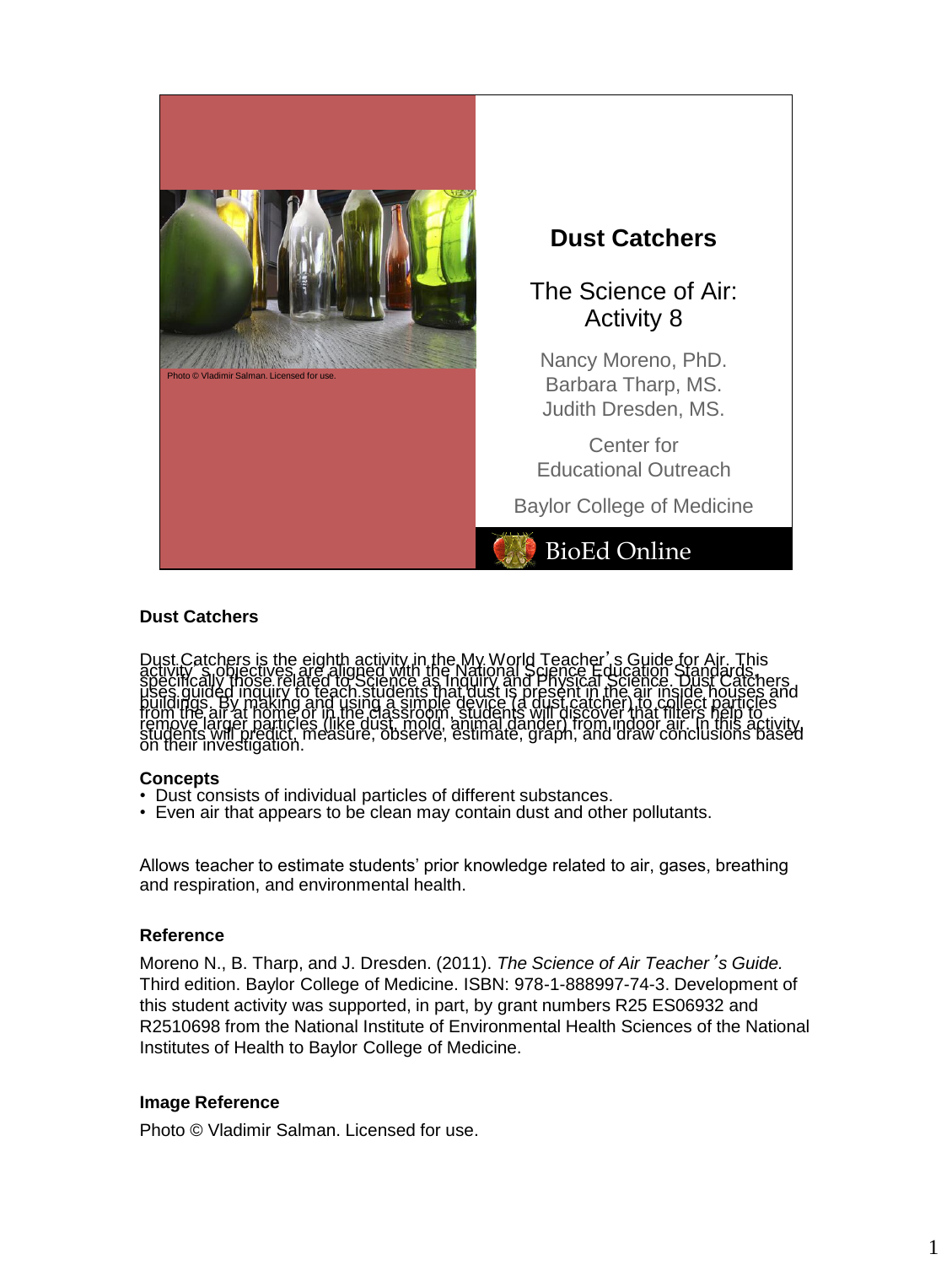

# **Dust Catchers**

lust Catchers is the eighth activity in the My World Teacher', s Guide for Air.<br>Clivity Shociectives are aligned with the National Science Education Standar<br>Secifically those related to Science as Inquiry and Physical Scie

#### **Concepts**

- Dust consists of individual particles of different substances.
- Even air that appears to be clean may contain dust and other pollutants.

Allows teacher to estimate students' prior knowledge related to air, gases, breathing and respiration, and environmental health.

#### **Reference**

Moreno N., B. Tharp, and J. Dresden. (2011). *The Science of Air Teacher*'*s Guide.* Third edition. Baylor College of Medicine. ISBN: 978-1-888997-74-3. Development of this student activity was supported, in part, by grant numbers R25 ES06932 and R2510698 from the National Institute of Environmental Health Sciences of the National Institutes of Health to Baylor College of Medicine.

#### **Image Reference**

Photo © Vladimir Salman. Licensed for use.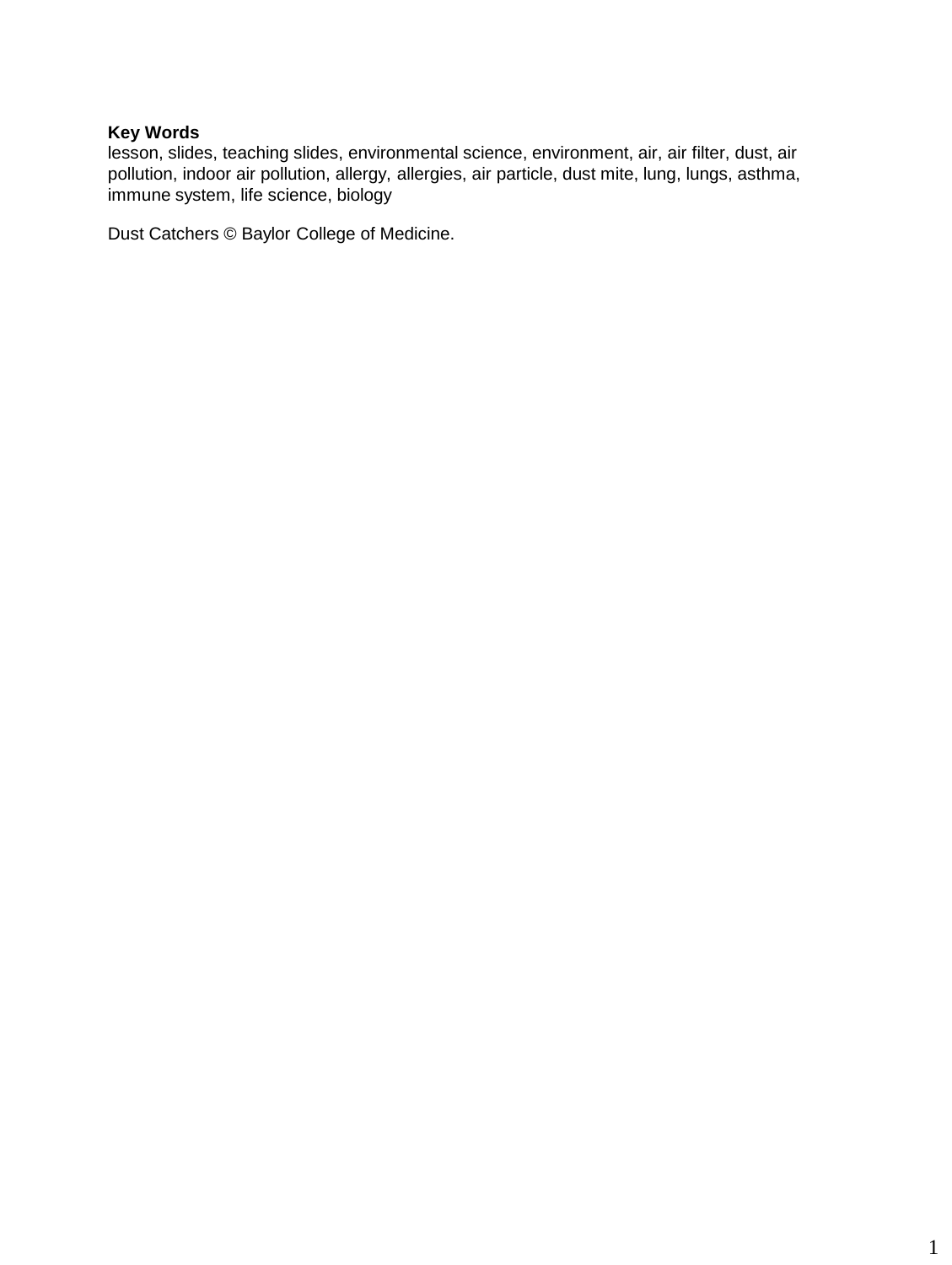lesson, slides, teaching slides, environmental science, environment, air, air filter, dust, air pollution, indoor air pollution, allergy, allergies, air particle, dust mite, lung, lungs, asthma, immune system, life science, biology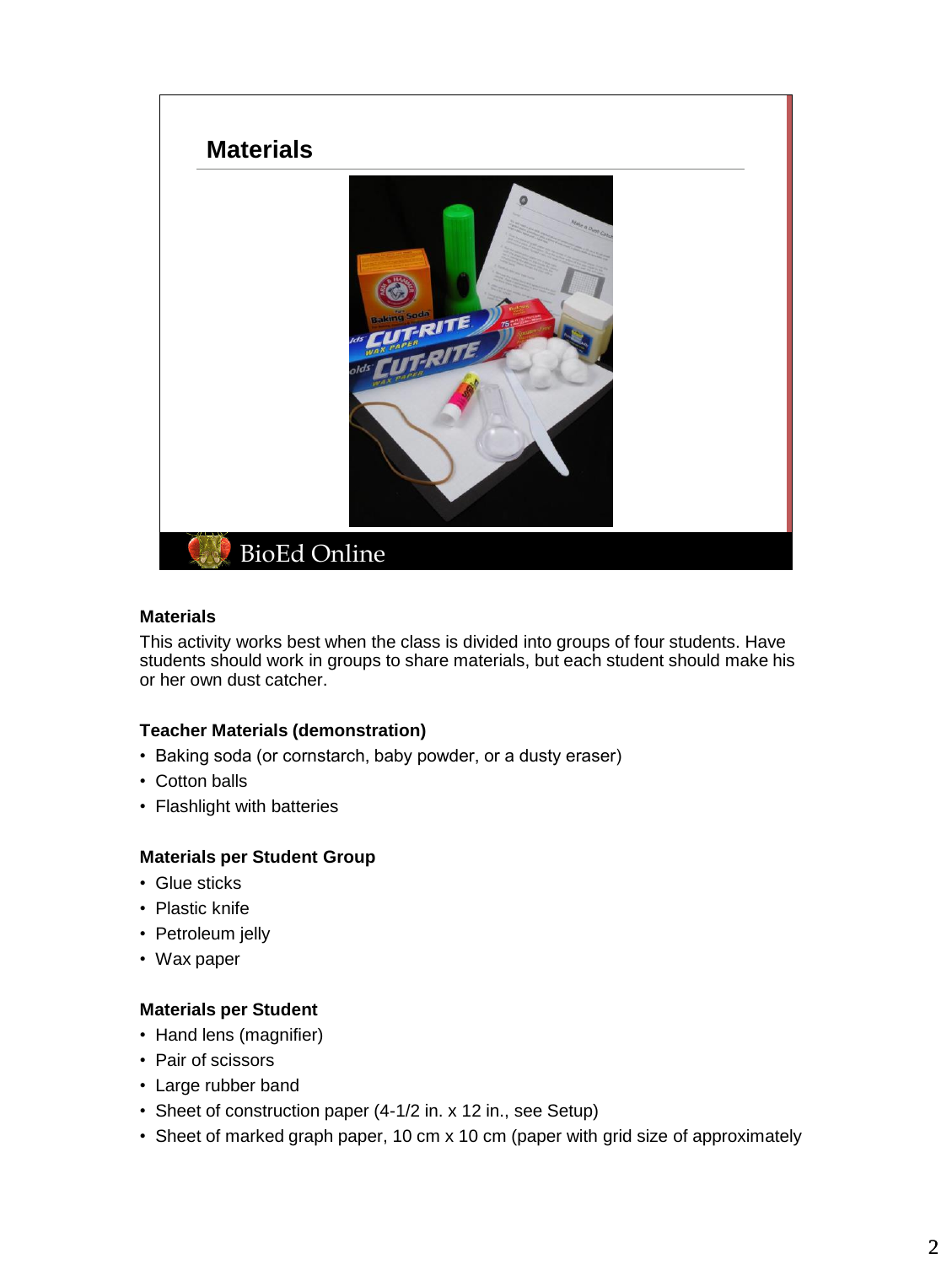

# **Materials**

This activity works best when the class is divided into groups of four students. Have students should work in groups to share materials, but each student should make his or her own dust catcher.

# **Teacher Materials (demonstration)**

- Baking soda (or cornstarch, baby powder, or a dusty eraser)
- Cotton balls
- Flashlight with batteries

# **Materials per Student Group**

- Glue sticks
- Plastic knife
- Petroleum jelly
- Wax paper

# **Materials per Student**

- Hand lens (magnifier)
- Pair of scissors
- Large rubber band
- Sheet of construction paper (4-1/2 in. x 12 in., see Setup)
- Sheet of marked graph paper, 10 cm x 10 cm (paper with grid size of approximately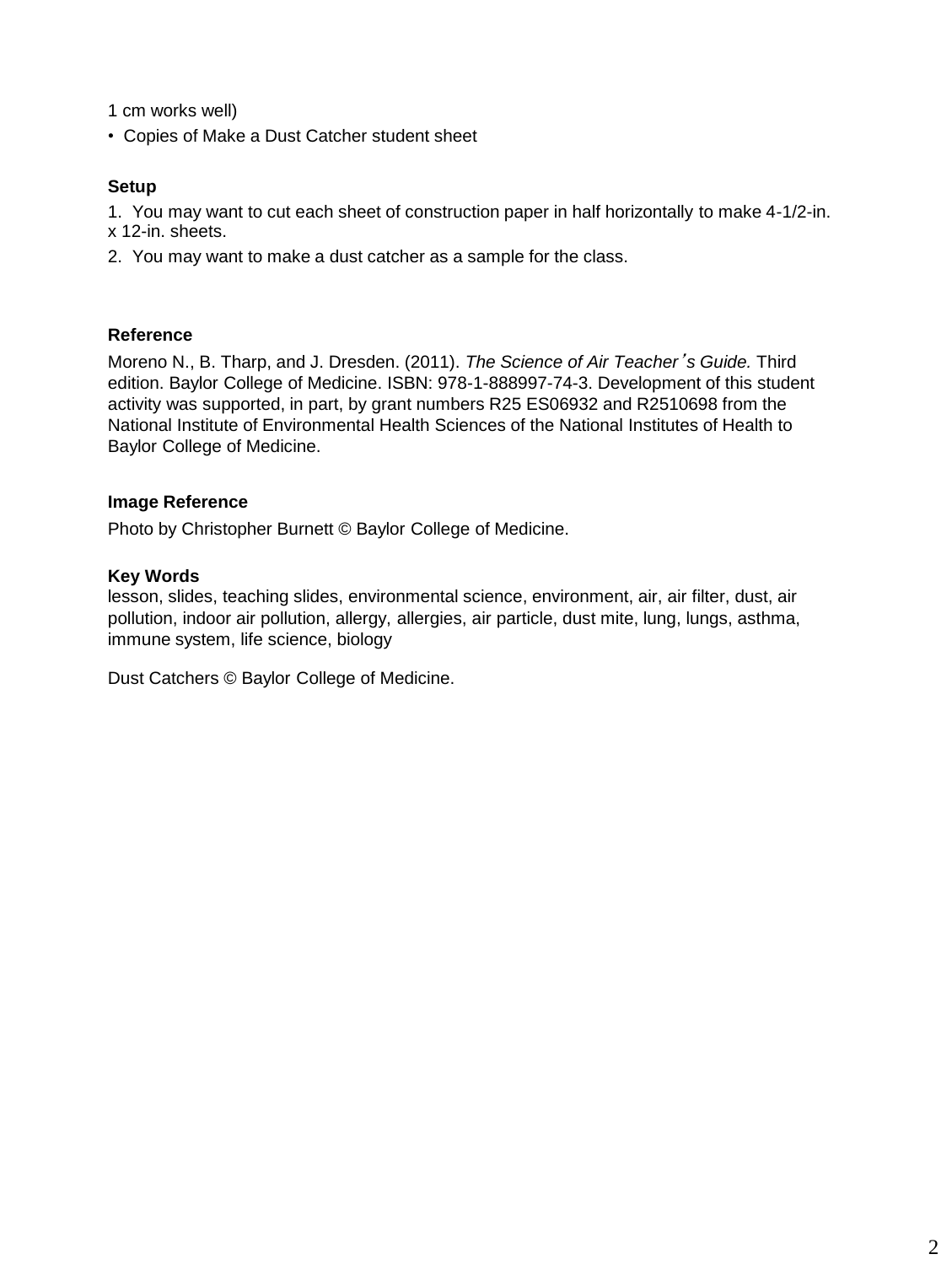1 cm works well)

• Copies of Make a Dust Catcher student sheet

# **Setup**

1. You may want to cut each sheet of construction paper in half horizontally to make 4-1/2-in. x 12-in. sheets.

2. You may want to make a dust catcher as a sample for the class.

# **Reference**

Moreno N., B. Tharp, and J. Dresden. (2011). *The Science of Air Teacher*'*s Guide.* Third edition. Baylor College of Medicine. ISBN: 978-1-888997-74-3. Development of this student activity was supported, in part, by grant numbers R25 ES06932 and R2510698 from the National Institute of Environmental Health Sciences of the National Institutes of Health to Baylor College of Medicine.

# **Image Reference**

Photo by Christopher Burnett © Baylor College of Medicine.

# **Key Words**

lesson, slides, teaching slides, environmental science, environment, air, air filter, dust, air pollution, indoor air pollution, allergy, allergies, air particle, dust mite, lung, lungs, asthma, immune system, life science, biology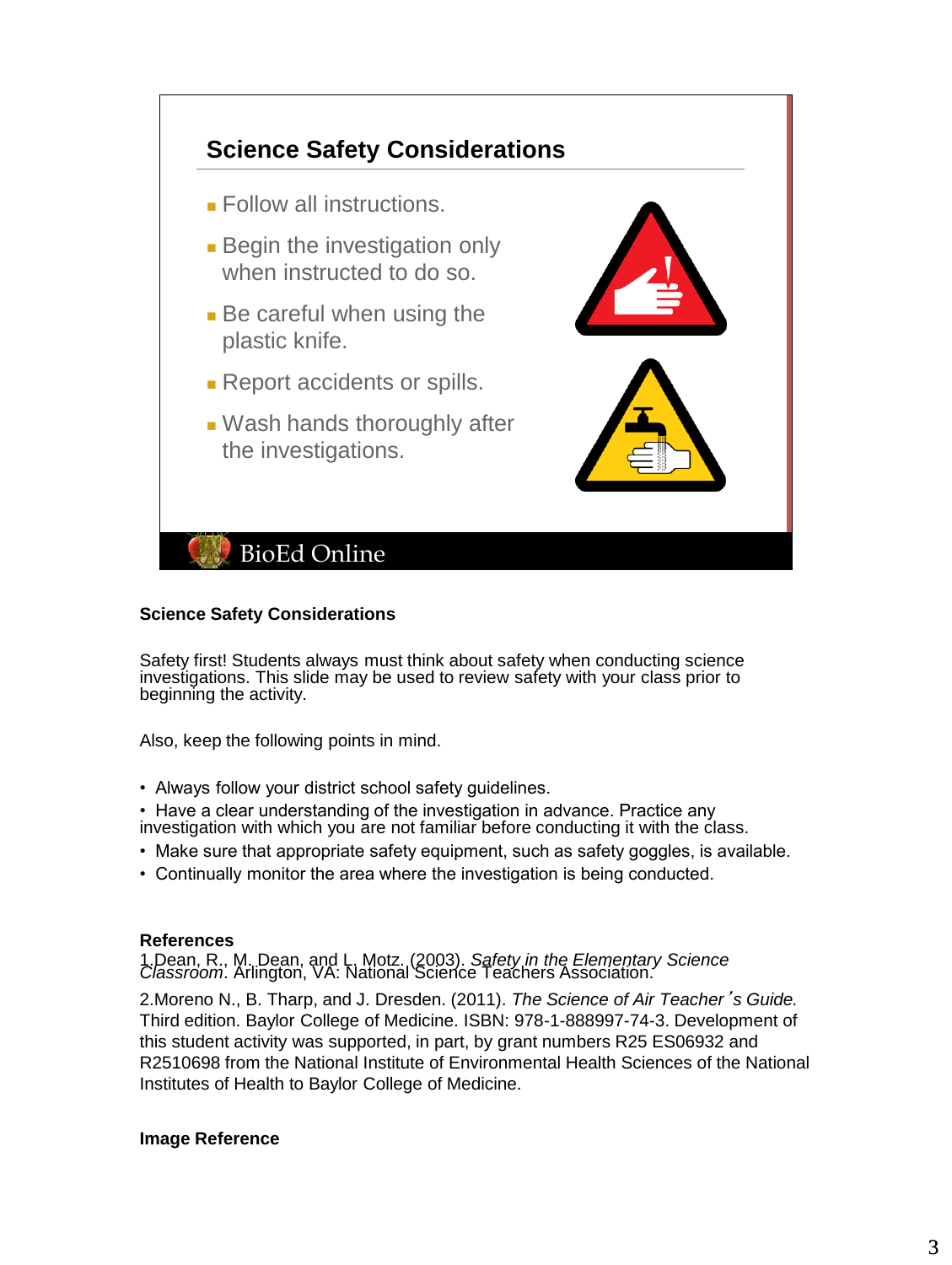

#### **Science Safety Considerations**

Safety first! Students always must think about safety when conducting science investigations. This slide may be used to review safety with your class prior to beginning the activity.

Also, keep the following points in mind.

• Always follow your district school safety guidelines.

• Have a clear understanding of the investigation in advance. Practice any investigation with which you are not familiar before conducting it with the class.

- Make sure that appropriate safety equipment, such as safety goggles, is available.
- Continually monitor the area where the investigation is being conducted.

# **References**

1.Dean, R., M. Dean, and L. Motz. (2003). *Safety in the Elementary Science Classroom*. Arlington, VA: National Science Teachers Association.

2.Moreno N., B. Tharp, and J. Dresden. (2011). *The Science of Air Teacher*'*s Guide.* Third edition. Baylor College of Medicine. ISBN: 978-1-888997-74-3. Development of this student activity was supported, in part, by grant numbers R25 ES06932 and R2510698 from the National Institute of Environmental Health Sciences of the National Institutes of Health to Baylor College of Medicine.

# **Image Reference**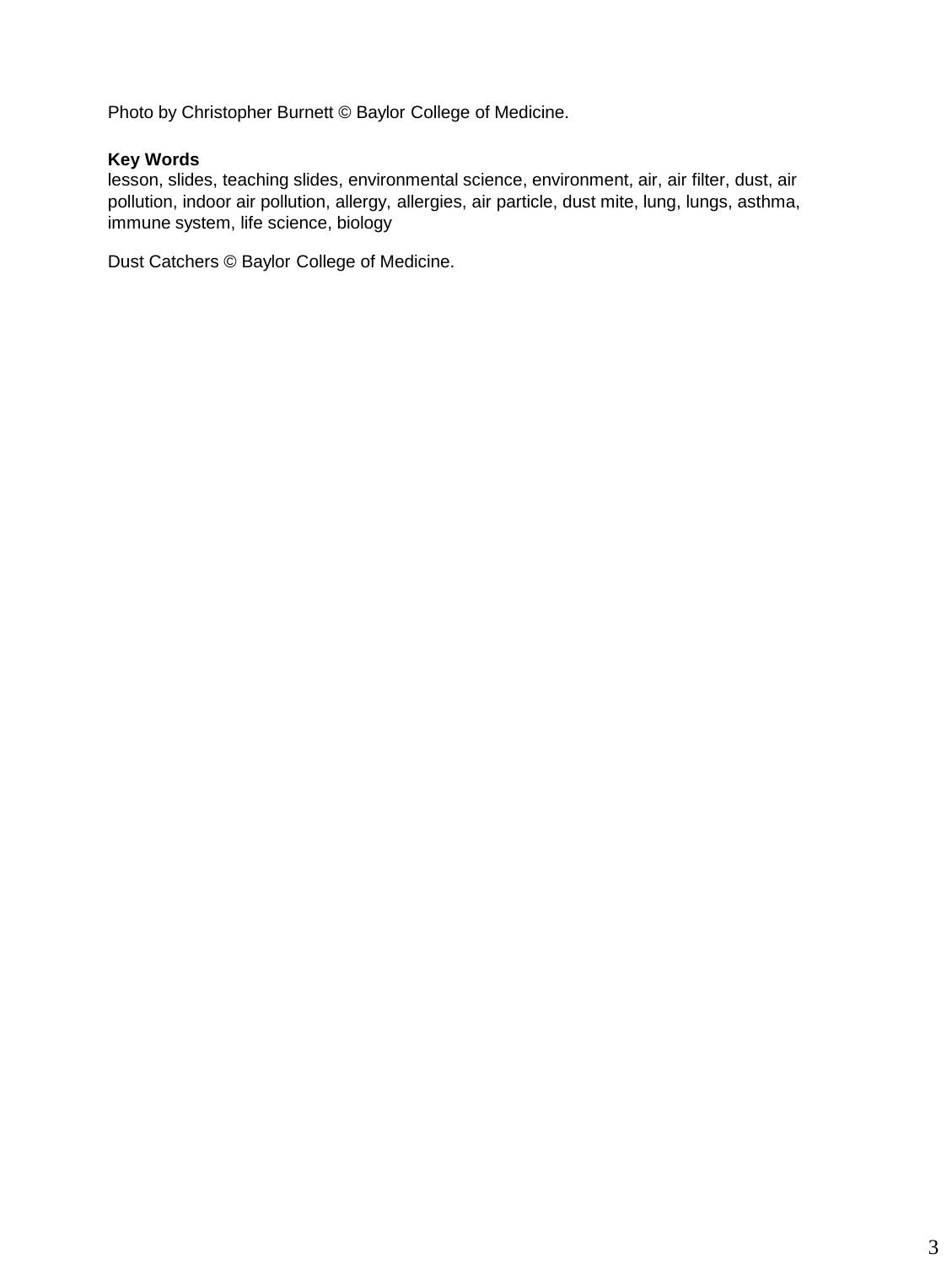Photo by Christopher Burnett © Baylor College of Medicine.

# **Key Words**

lesson, slides, teaching slides, environmental science, environment, air, air filter, dust, air pollution, indoor air pollution, allergy, allergies, air particle, dust mite, lung, lungs, asthma, immune system, life science, biology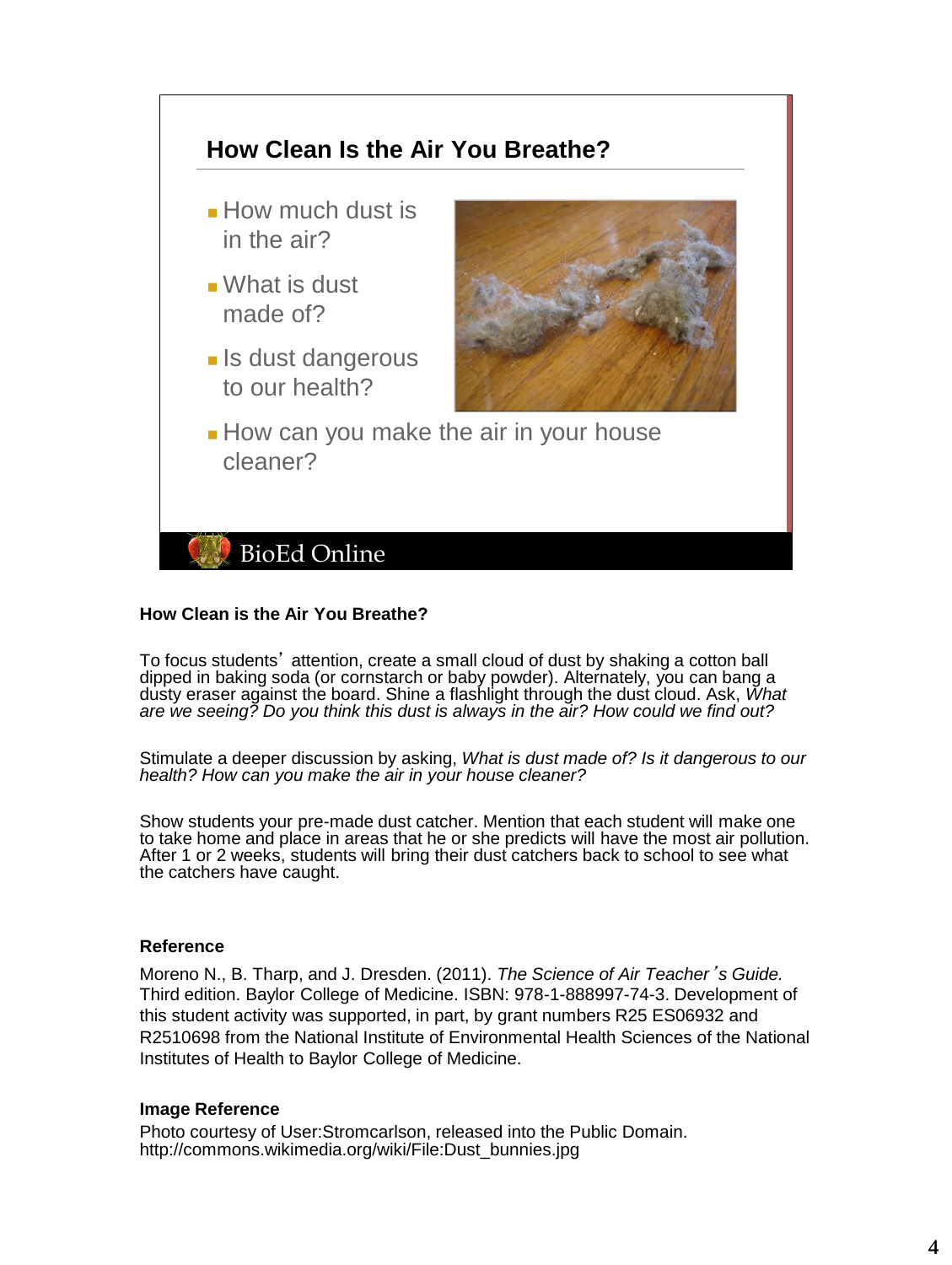

#### **How Clean is the Air You Breathe?**

To focus students' attention, create a small cloud of dust by shaking a cotton ball dipped in baking soda (or cornstarch or baby powder). Alternately, you can bang a dusty eraser against the board. Shine a flashlight through the dust cloud. Ask, *What are we seeing? Do you think this dust is always in the air? How could we find out?*

Stimulate a deeper discussion by asking, *What is dust made of? Is it dangerous to our health? How can you make the air in your house cleaner?*

Show students your pre-made dust catcher. Mention that each student will make one to take home and place in areas that he or she predicts will have the most air pollution. After 1 or 2 weeks, students will bring their dust catchers back to school to see what the catchers have caught.

#### **Reference**

Moreno N., B. Tharp, and J. Dresden. (2011). *The Science of Air Teacher*'*s Guide.* Third edition. Baylor College of Medicine. ISBN: 978-1-888997-74-3. Development of this student activity was supported, in part, by grant numbers R25 ES06932 and R2510698 from the National Institute of Environmental Health Sciences of the National Institutes of Health to Baylor College of Medicine.

#### **Image Reference**

Photo courtesy of User:Stromcarlson, released into the Public Domain. http://commons.wikimedia.org/wiki/File:Dust\_bunnies.jpg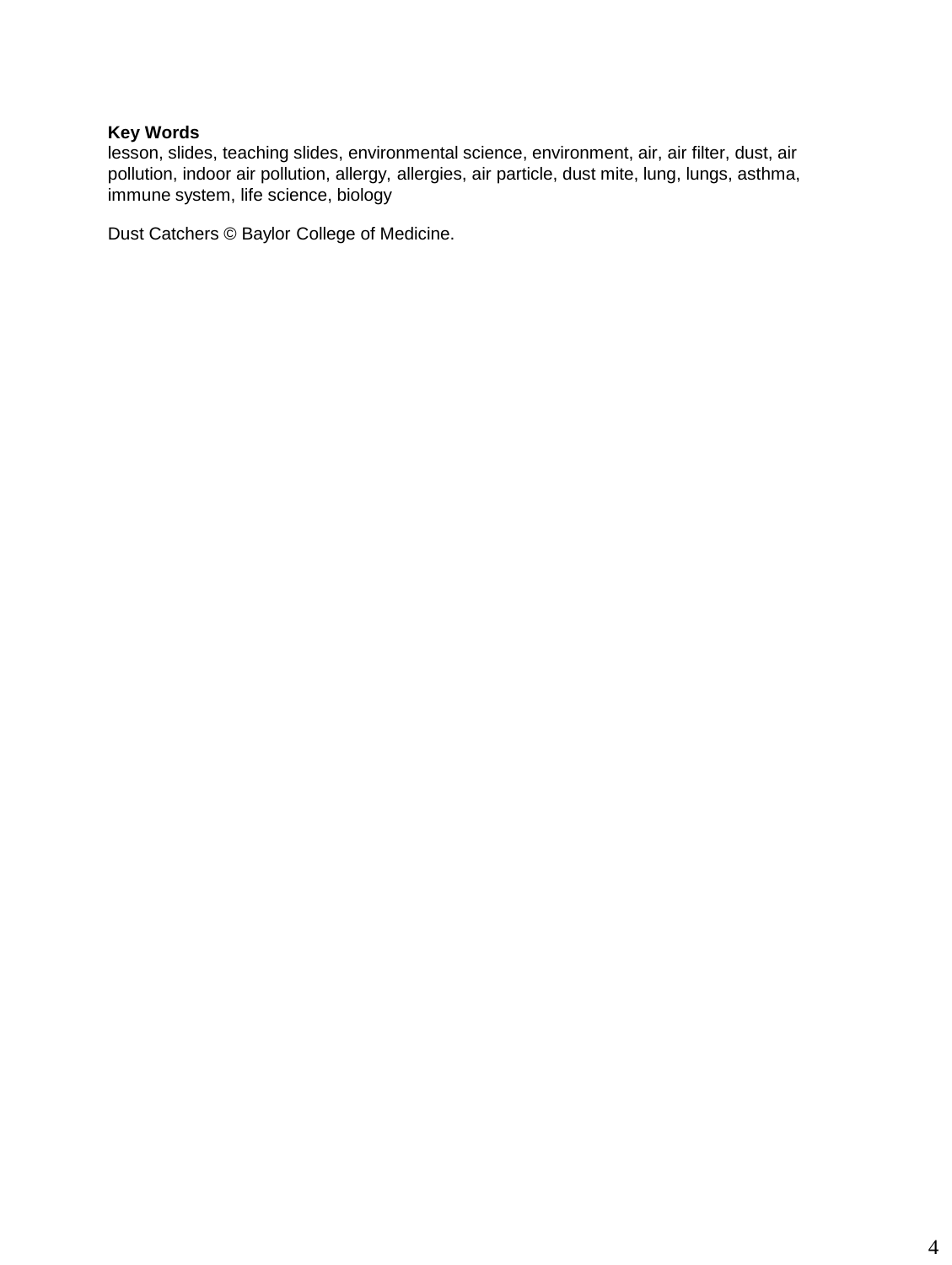lesson, slides, teaching slides, environmental science, environment, air, air filter, dust, air pollution, indoor air pollution, allergy, allergies, air particle, dust mite, lung, lungs, asthma, immune system, life science, biology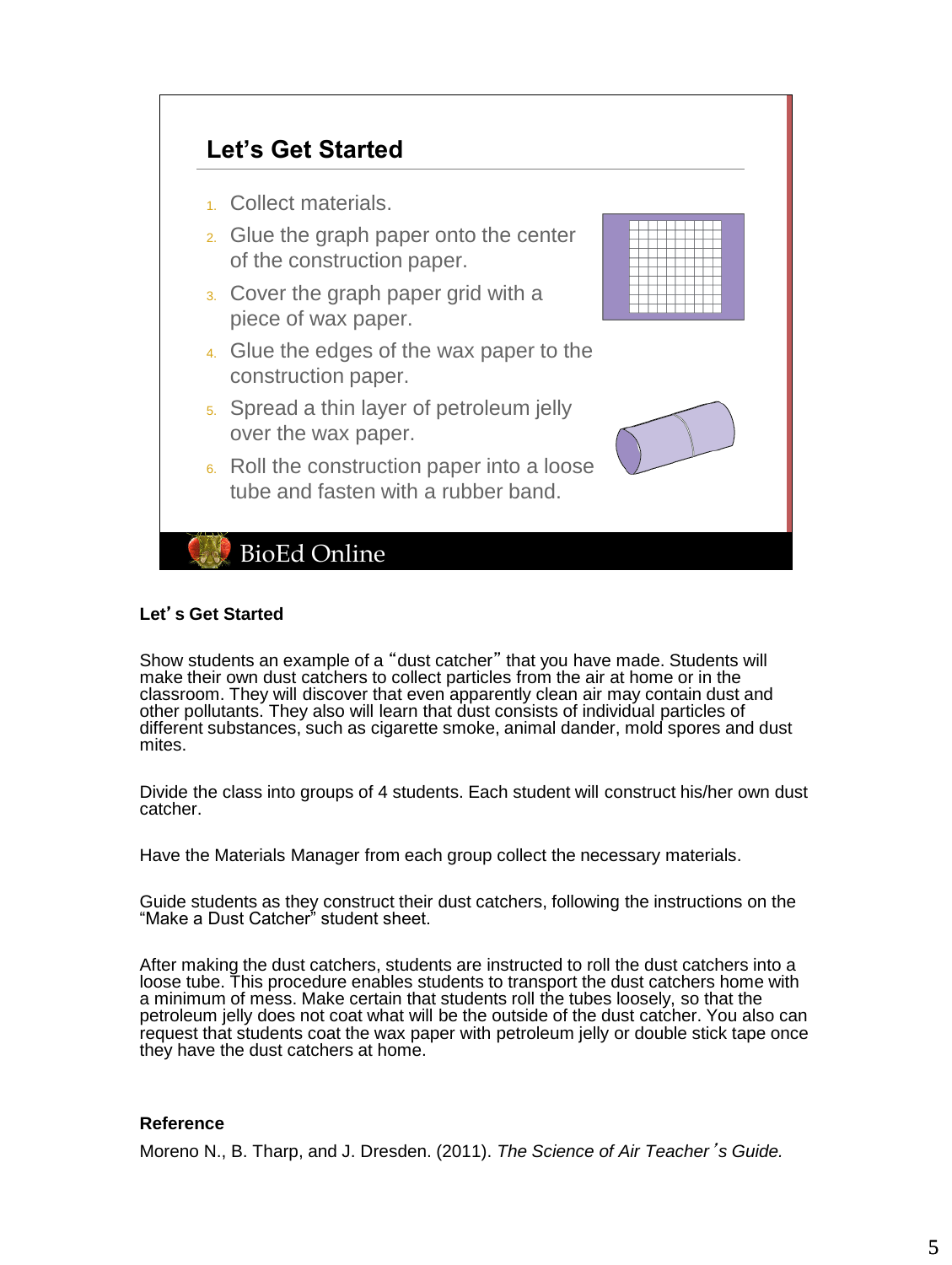

#### **Let**'**s Get Started**

Show students an example of a "dust catcher" that you have made. Students will make their own dust catchers to collect particles from the air at home or in the classroom. They will discover that even apparently clean air may contain dust and other pollutants. They also will learn that dust consists of individual particles of different substances, such as cigarette smoke, animal dander, mold spores and dust mites.

Divide the class into groups of 4 students. Each student will construct his/her own dust catcher.

Have the Materials Manager from each group collect the necessary materials.

Guide students as they construct their dust catchers, following the instructions on the "Make a Dust Catcher" student sheet.

After making the dust catchers, students are instructed to roll the dust catchers into a loose tube. This procedure enables students to transport the dust catchers home with a minimum of mess. Make certain that students roll the tubes loosely, so that the petroleum jelly does not coat what will be the outside of the dust catcher. You also can request that students coat the wax paper with petroleum jelly or double stick tape once they have the dust catchers at home.

#### **Reference**

Moreno N., B. Tharp, and J. Dresden. (2011). *The Science of Air Teacher*'*s Guide.*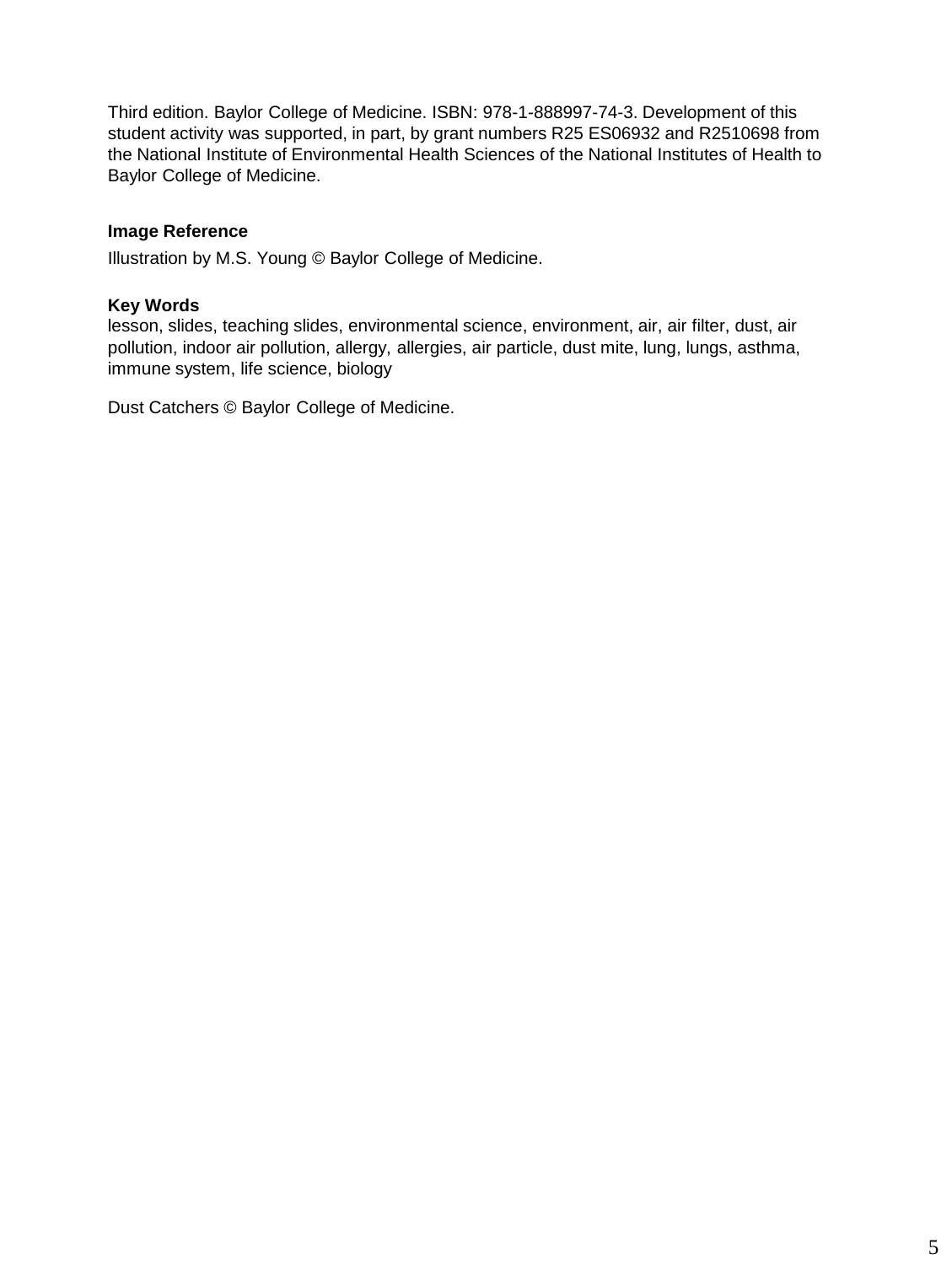Third edition. Baylor College of Medicine. ISBN: 978-1-888997-74-3. Development of this student activity was supported, in part, by grant numbers R25 ES06932 and R2510698 from the National Institute of Environmental Health Sciences of the National Institutes of Health to Baylor College of Medicine.

# **Image Reference**

Illustration by M.S. Young © Baylor College of Medicine.

# **Key Words**

lesson, slides, teaching slides, environmental science, environment, air, air filter, dust, air pollution, indoor air pollution, allergy, allergies, air particle, dust mite, lung, lungs, asthma, immune system, life science, biology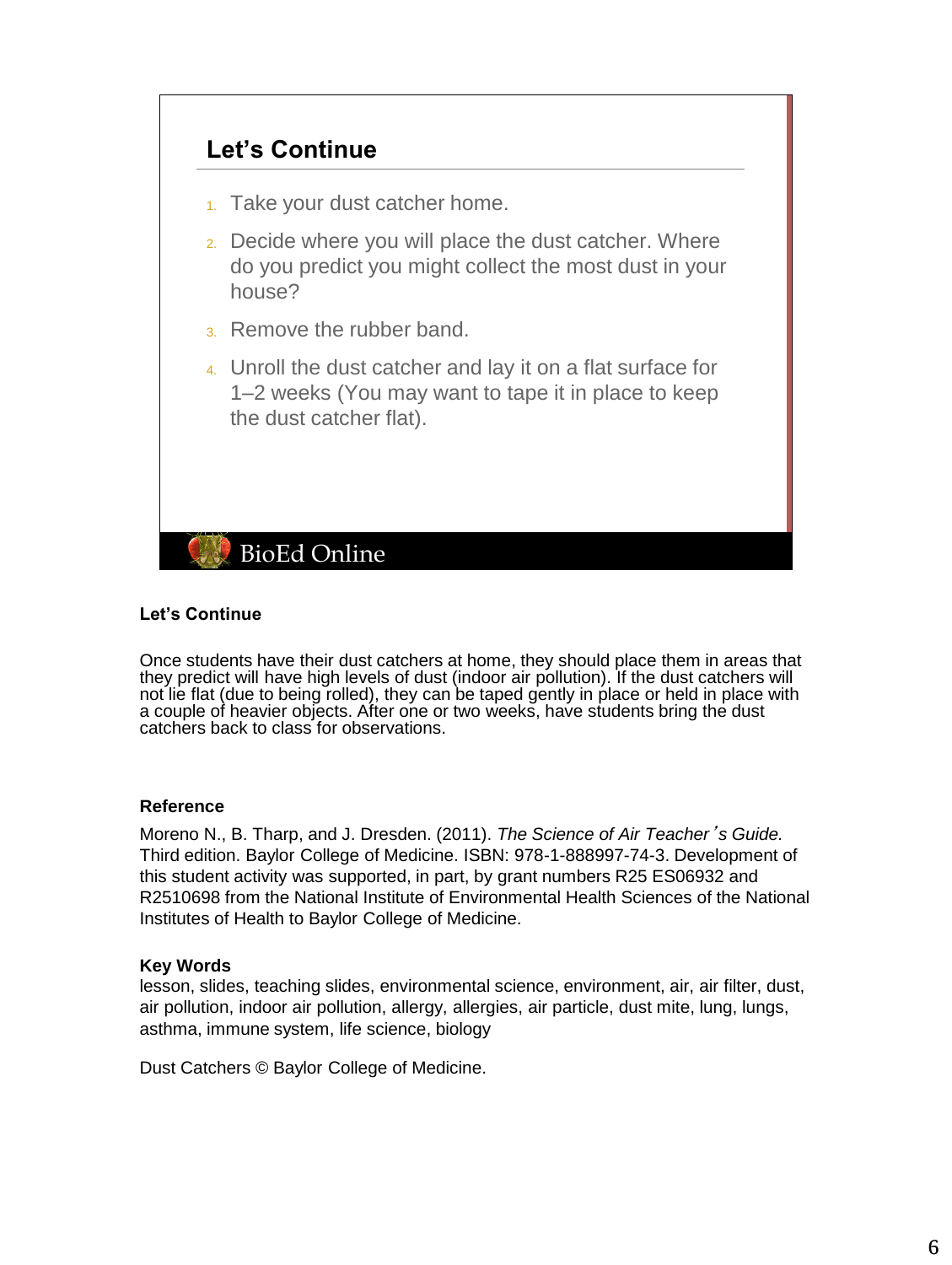

# **Let's Continue**

Once students have their dust catchers at home, they should place them in areas that they predict will have high levels of dust (indoor air pollution). If the dust catchers will not lie flat (due to being rolled), they can be taped gently in place or held in place with a couple of heavier objects. After one or two weeks, have students bring the dust catchers back to class for observations.

# **Reference**

Moreno N., B. Tharp, and J. Dresden. (2011). *The Science of Air Teacher*'*s Guide.* Third edition. Baylor College of Medicine. ISBN: 978-1-888997-74-3. Development of this student activity was supported, in part, by grant numbers R25 ES06932 and R2510698 from the National Institute of Environmental Health Sciences of the National Institutes of Health to Baylor College of Medicine.

#### **Key Words**

lesson, slides, teaching slides, environmental science, environment, air, air filter, dust, air pollution, indoor air pollution, allergy, allergies, air particle, dust mite, lung, lungs, asthma, immune system, life science, biology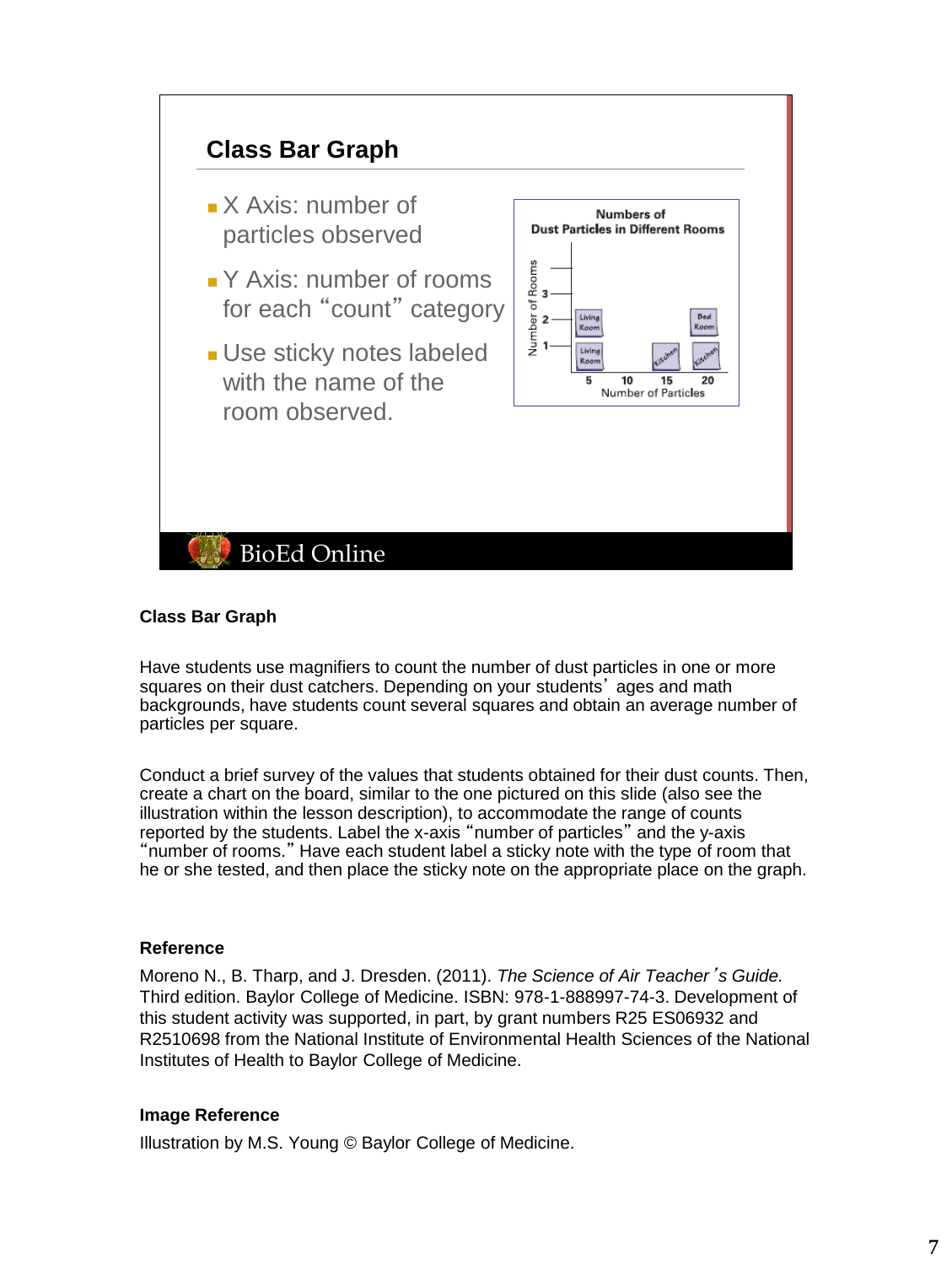

# **Class Bar Graph**

Have students use magnifiers to count the number of dust particles in one or more squares on their dust catchers. Depending on your students' ages and math backgrounds, have students count several squares and obtain an average number of particles per square.

Conduct a brief survey of the values that students obtained for their dust counts. Then, create a chart on the board, similar to the one pictured on this slide (also see the illustration within the lesson description), to accommodate the range of counts reported by the students. Label the x-axis "number of particles" and the y-axis "number of rooms." Have each student label a sticky note with the type of room that he or she tested, and then place the sticky note on the appropriate place on the graph.

#### **Reference**

Moreno N., B. Tharp, and J. Dresden. (2011). *The Science of Air Teacher*'*s Guide.* Third edition. Baylor College of Medicine. ISBN: 978-1-888997-74-3. Development of this student activity was supported, in part, by grant numbers R25 ES06932 and R2510698 from the National Institute of Environmental Health Sciences of the National Institutes of Health to Baylor College of Medicine.

#### **Image Reference**

Illustration by M.S. Young © Baylor College of Medicine.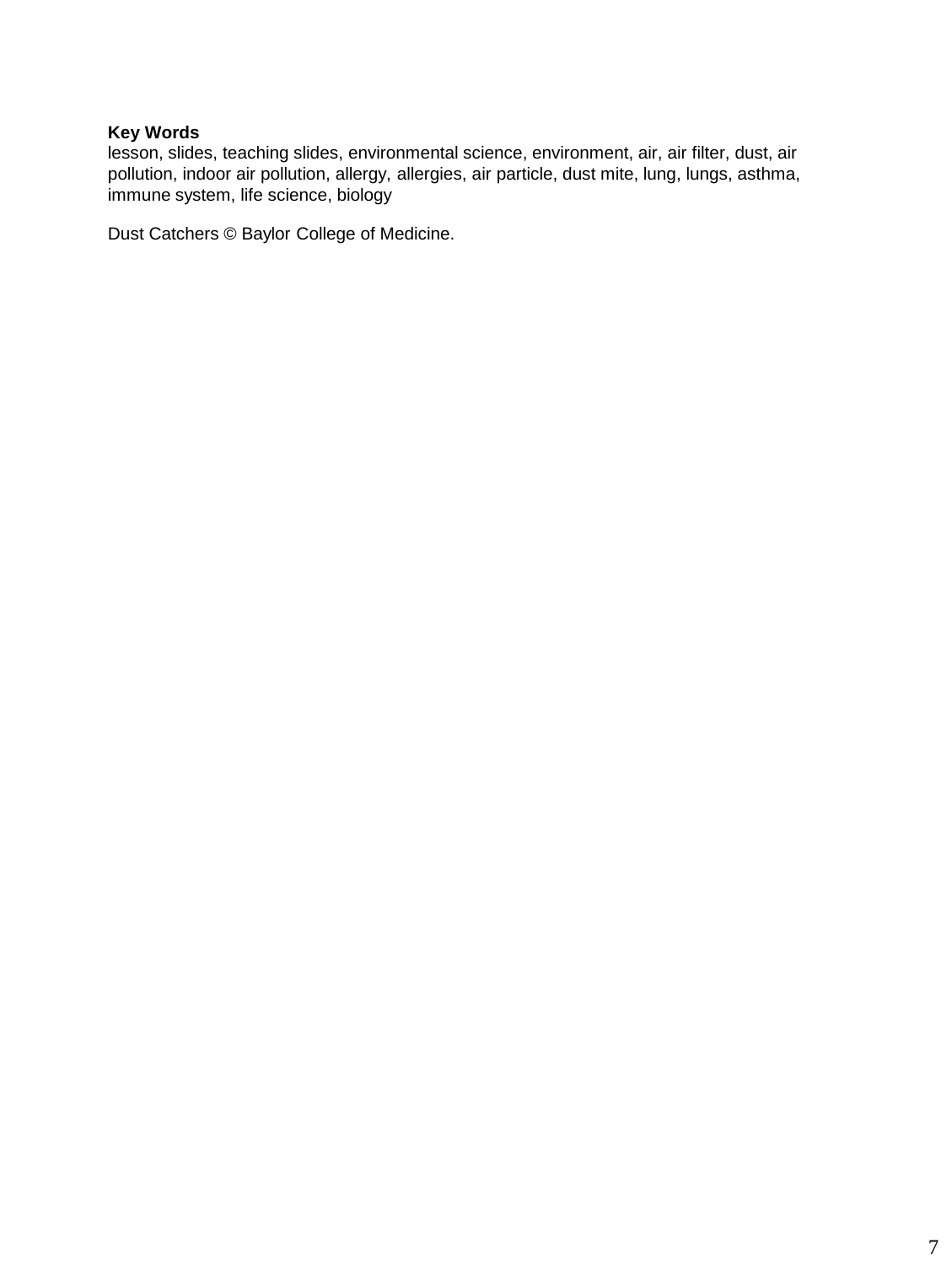lesson, slides, teaching slides, environmental science, environment, air, air filter, dust, air pollution, indoor air pollution, allergy, allergies, air particle, dust mite, lung, lungs, asthma, immune system, life science, biology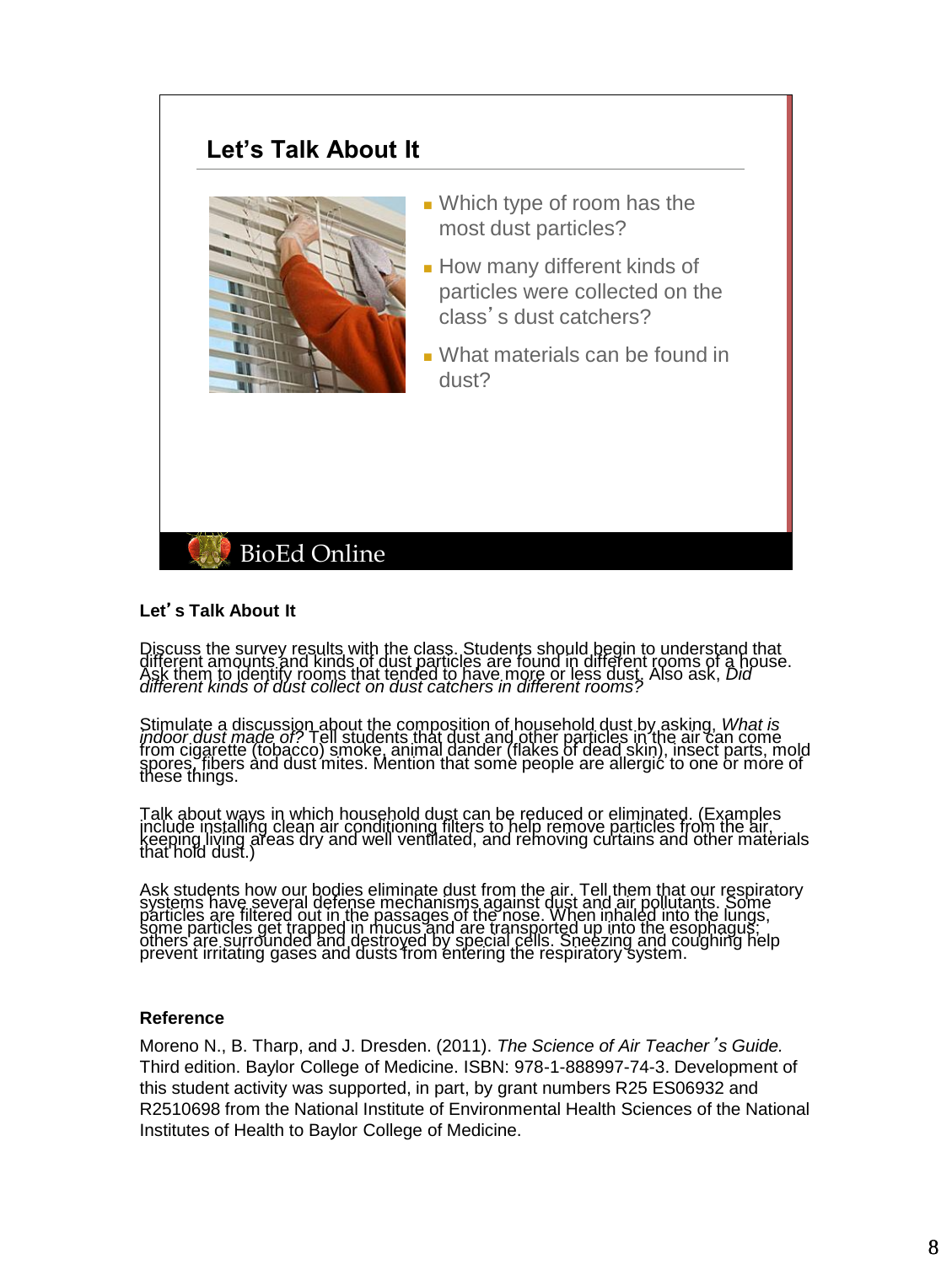# **Let's Talk About It**



- Which type of room has the most dust particles?
- How many different kinds of particles were collected on the class's dust catchers?
- What materials can be found in dust?

# **BioEd Online**

#### **Let**'**s Talk About It**

Discuss the survey results with the class. Students should begin to understand that<br>different amounts and kinds of dust particles are found in different rooms of a house.<br>Ask them to identify rooms that tended to have more

Stimulate a discussion about the composition of household dust by asking, *What is*<br>*indoor dust made of?* Tell students that dust and other particles in the air can come<br>from cigarette (tobacco) smoke, animal dander (flak

Talk about ways in which household dust can be reduced or eliminated. (Examples<br>include installing clean air conditioning filters to help remove particles from the air, keeping living areas dry and well ventilated, and removing curtains and other materials<br>that hold dust.)

Ask students how our bodies eliminate dust from the air. Tell them that our respiratory<br>systems have several defense mechanisms against dust and air pollutants. Some<br>particles are filtered out in the passages of the nose. some particles get trapped in mucus and are transported up into the esophagus."<br>others are surrounded and destroyed by special cells. Sneezing and coughing help<br>prevent irritating gases and dusts from entering the respirat

#### **Reference**

Moreno N., B. Tharp, and J. Dresden. (2011). *The Science of Air Teacher*'*s Guide.* Third edition. Baylor College of Medicine. ISBN: 978-1-888997-74-3. Development of this student activity was supported, in part, by grant numbers R25 ES06932 and R2510698 from the National Institute of Environmental Health Sciences of the National Institutes of Health to Baylor College of Medicine.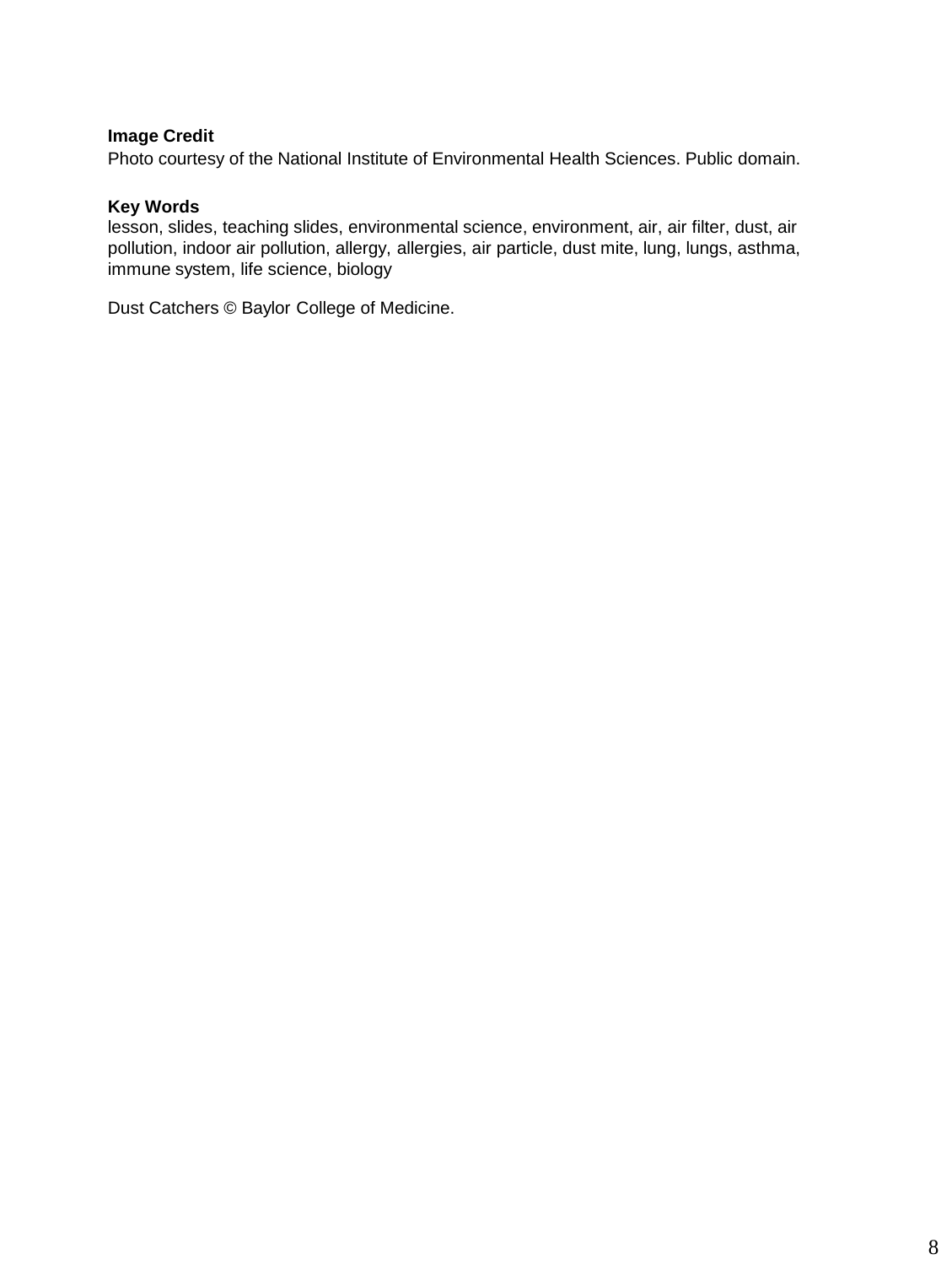# **Image Credit**

Photo courtesy of the National Institute of Environmental Health Sciences. Public domain.

#### **Key Words**

lesson, slides, teaching slides, environmental science, environment, air, air filter, dust, air pollution, indoor air pollution, allergy, allergies, air particle, dust mite, lung, lungs, asthma, immune system, life science, biology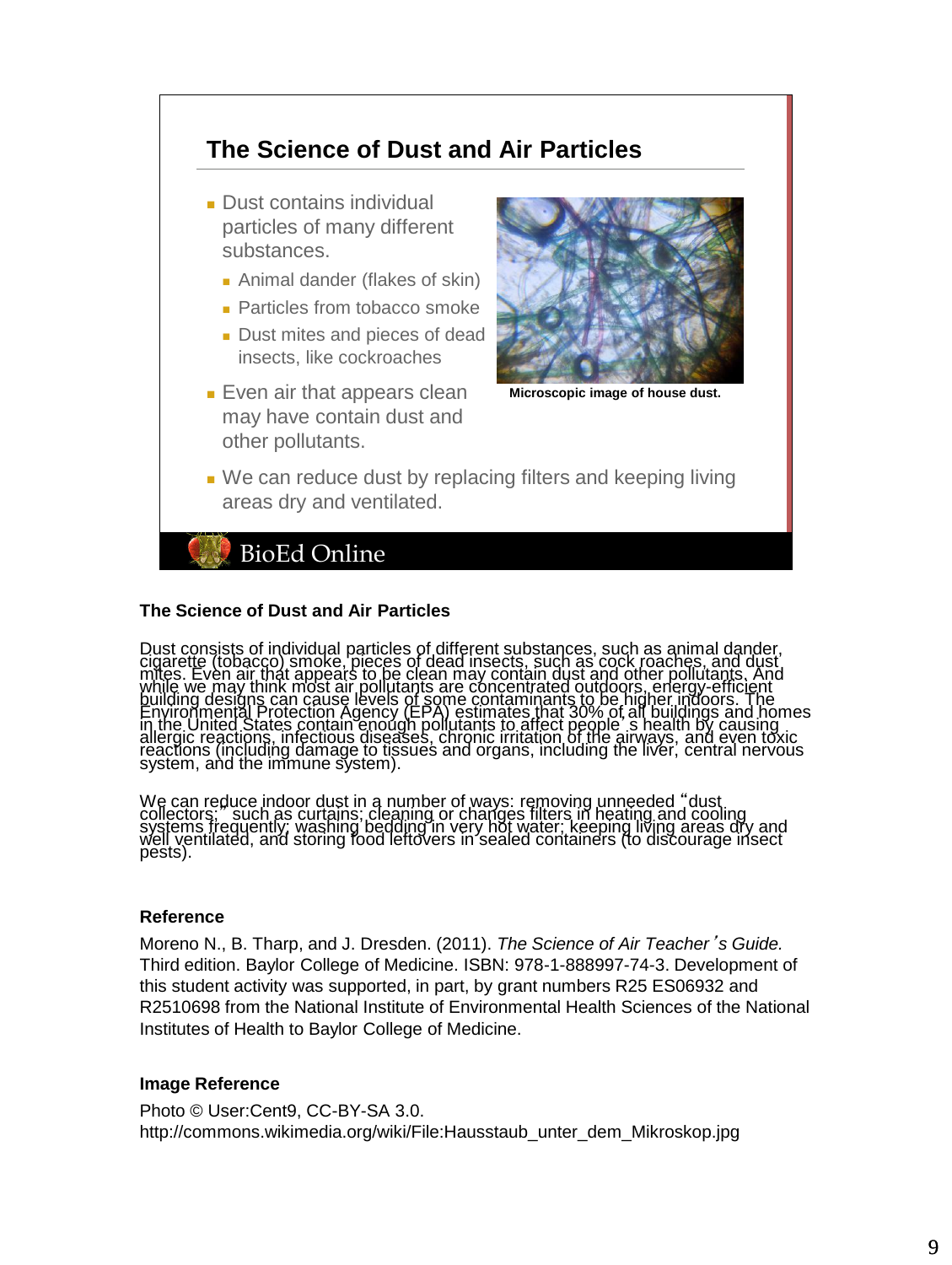

#### **The Science of Dust and Air Particles**

Dust consists of individual particles of different substances, such as animal dander,<br>cigarette (tobacco) smoke, pieces of dead insects, such as cock roaches, and dust<br>mifies. Even air that appears to be clean may contain

We can reduce indoor dust in a number of ways: removing unneeded "dust<br>collectors: " such as curtains; cleaning or changes filters in heating and cooling<br>systems frequently; washing bedding in very hot water; keeping livin

# **Reference**

Moreno N., B. Tharp, and J. Dresden. (2011). *The Science of Air Teacher*'*s Guide.* Third edition. Baylor College of Medicine. ISBN: 978-1-888997-74-3. Development of this student activity was supported, in part, by grant numbers R25 ES06932 and R2510698 from the National Institute of Environmental Health Sciences of the National Institutes of Health to Baylor College of Medicine.

# **Image Reference**

Photo © User:Cent9, CC-BY-SA 3.0. http://commons.wikimedia.org/wiki/File:Hausstaub\_unter\_dem\_Mikroskop.jpg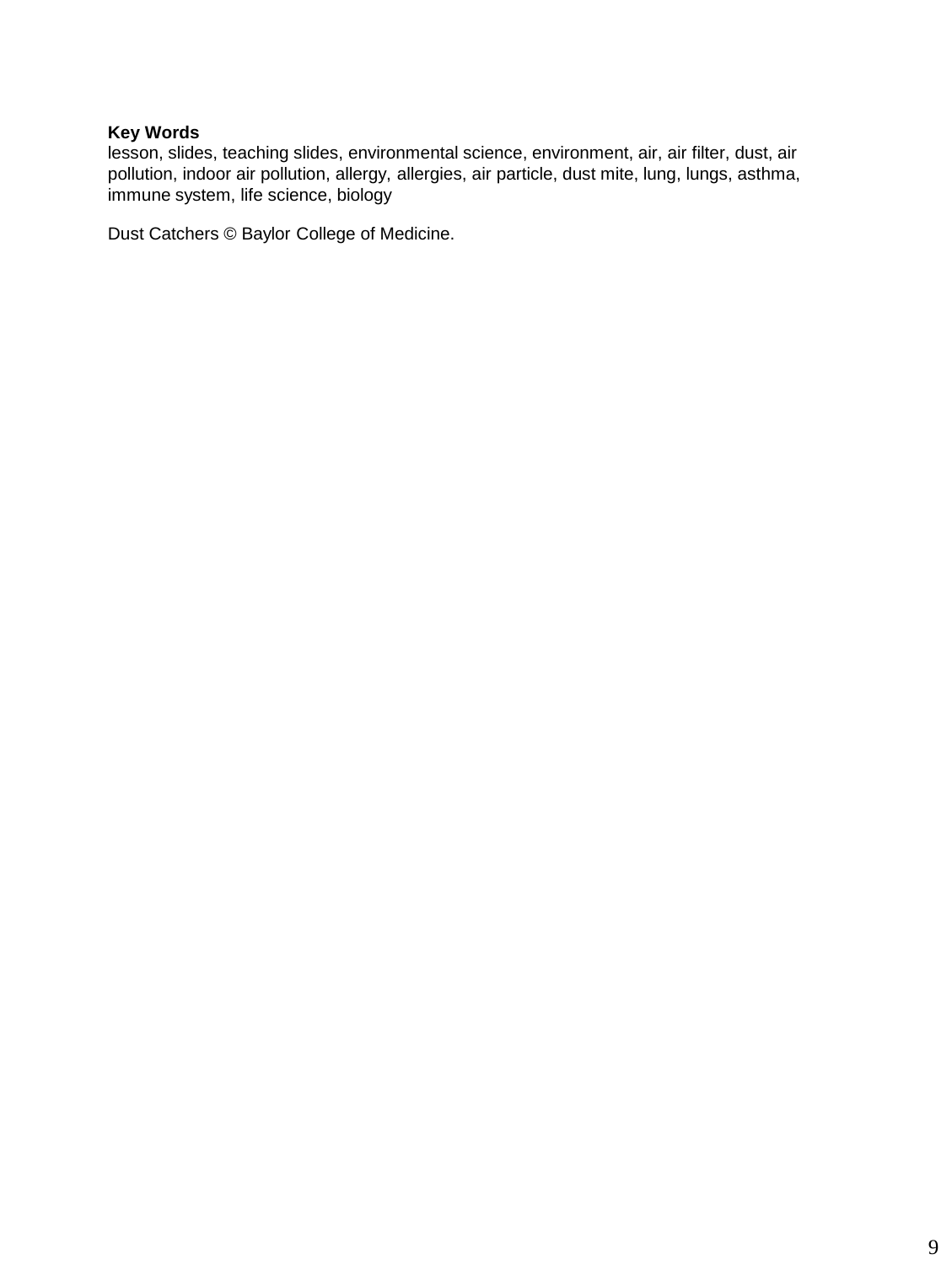lesson, slides, teaching slides, environmental science, environment, air, air filter, dust, air pollution, indoor air pollution, allergy, allergies, air particle, dust mite, lung, lungs, asthma, immune system, life science, biology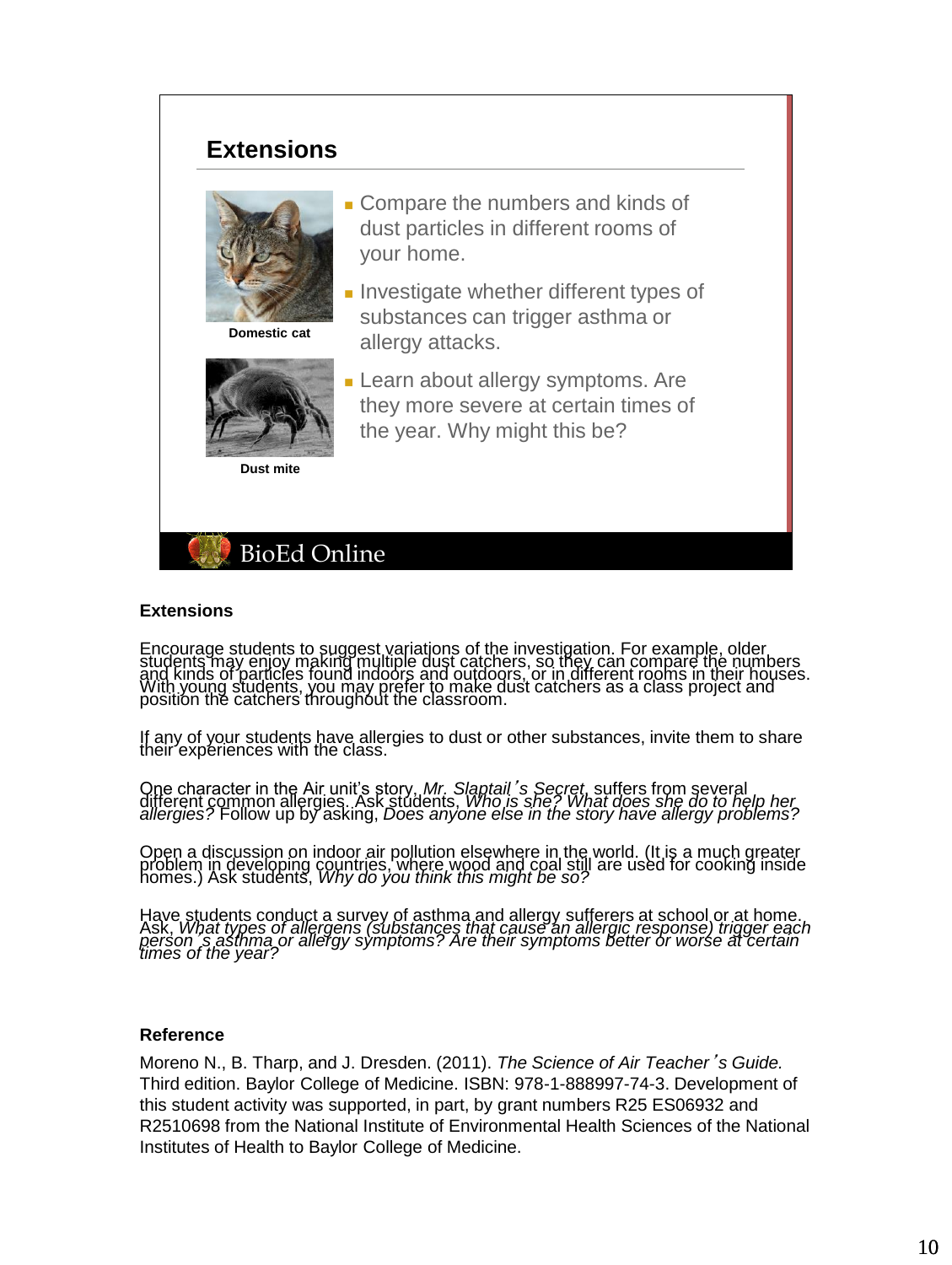# **Extensions**



**Domestic cat**

- Compare the numbers and kinds of dust particles in different rooms of your home.
- Investigate whether different types of substances can trigger asthma or allergy attacks.
- **Learn about allergy symptoms. Are** they more severe at certain times of the year. Why might this be?

**Dust mite**



#### **Extensions**

Encourage students to suggest variations of the investigation. For example, older<br>students may enjoy making multiple dust catchers, so they can compare the numbers<br>and kinds of particles found indoors and outdoors, or in d

If any of your students have allergies to dust or other substances, invite them to share their experiences with the class.

One character in the Air unit's story, Mr. Slaptail's Secret, suffers from several<br>different common allergies. Ask students, Who is she? What does she do to help her<br>allergies? Follow up by asking, Does anyone else in the

Open a discussion on indoor air pollution elsewhere in the world. (It is a much greater<br>problem in developing countries, where wood and coal still are used for cooking inside<br>homes.) Ask students, *Why do you think this mi* 

Have students conduct a survey of asthma and allergy sufferers at school or at home.<br>Ask, *What types of allergens (substances that cause an allergic response) trigger each<br>person 's asthma or allergy symptoms? Are their s* 

#### **Reference**

Moreno N., B. Tharp, and J. Dresden. (2011). *The Science of Air Teacher*'*s Guide.* Third edition. Baylor College of Medicine. ISBN: 978-1-888997-74-3. Development of this student activity was supported, in part, by grant numbers R25 ES06932 and R2510698 from the National Institute of Environmental Health Sciences of the National Institutes of Health to Baylor College of Medicine.